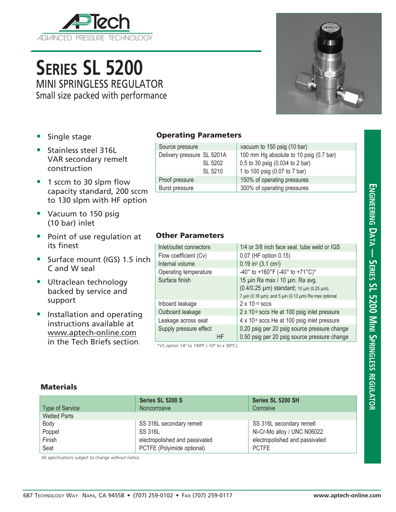

# **Series SL 5200** MINI SPRINGLESS REGULATOR

Small size packed with performance



- Single stage
- Stainless steel 316L VAR secondary remelt construction
- 1 sccm to 30 slpm flow capacity standard, 200 sccm to 130 slpm with HF option
- Vacuum to 150 psig (10 bar) inlet
- Point of use regulation at its finest
- Surface mount (IGS) 1.5 inch C and W seal
- Ultraclean technology backed by service and support
- Installation and operating instructions available at www.aptech-online.com in the Tech Briefs section

### Operating Parameters

| Source pressure            | vacuum to 150 psig (10 bar)             |
|----------------------------|-----------------------------------------|
| Delivery pressure SL 5201A | 100 mm Hg absolute to 10 psig (0.7 bar) |
| SL 5202                    | 0.5 to 30 psig (0.034 to 2 bar)         |
| SL 5210                    | 1 to 100 psig (0.07 to 7 bar)           |
| Proof pressure             | 150% of operating pressures             |
| Burst pressure             | 300% of operating pressures             |
|                            |                                         |

#### Other Parameters

| Inlet/outlet connectors |    | 1/4 or 3/8 inch face seal, tube weld or IGS                                                  |
|-------------------------|----|----------------------------------------------------------------------------------------------|
| Flow coefficient (Cv)   |    | 0.07 (HF option 0.15)                                                                        |
| Internal volume         |    | $0.19$ in <sup>3</sup> (3.1 cm <sup>3</sup> )                                                |
| Operating temperature   |    | -40° to +160°F (-40° to +71°C)*                                                              |
| Surface finish          |    | 15 µin Ra max / 10 µin. Ra avg.<br>(0.4/0.25 µm) standard; 10 µin (0.25 µm);                 |
|                         |    | 7 µin (0.18 µm); and 5 µin (0.13 µm) Ra max optional                                         |
| Inboard leakage         |    | $2 \times 10^{-10}$ sccs                                                                     |
| Outboard leakage        |    | $2 \times 10^{-9}$ sccs He at 100 psig inlet pressure                                        |
| Leakage across seat     |    | 4 x 10 <sup>-8</sup> sccs He at 100 psig inlet pressure                                      |
| Supply pressure effect  | ΗF | 0.20 psig per 20 psig source pressure change<br>0.50 psig per 20 psig source pressure change |
|                         |    |                                                                                              |

\*VS option  $14^{\circ}$  to  $194^{\circ}$  (-10° to + 90°C).

#### **Materials**

| <b>Type of Service</b> | Series SL 5200 S<br>Noncorrosive | Series SL 5200 SH<br>Corrosive |
|------------------------|----------------------------------|--------------------------------|
| <b>Wetted Parts</b>    |                                  |                                |
| Body                   | SS 316L secondary remelt         | SS 316L secondary remelt       |
| Poppet                 | SS 316L                          | Ni-Cr-Mo alloy / UNC N06022    |
| Finish                 | electropolished and passivated   | electropolished and passivated |
| Seat                   | PCTFE (Polyimide optional)       | <b>PCTFE</b>                   |

All specifications subject to change without notice.